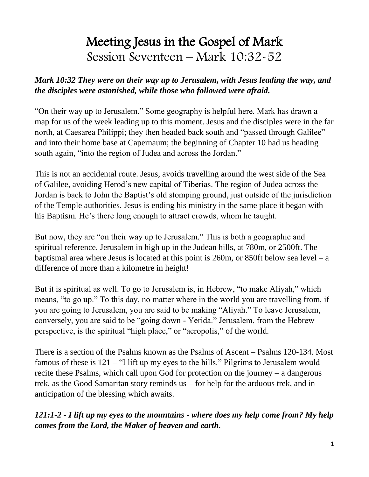# Meeting Jesus in the Gospel of Mark Session Seventeen – Mark 10:32-52

#### *Mark 10:32 They were on their way up to Jerusalem, with Jesus leading the way, and the disciples were astonished, while those who followed were afraid.*

"On their way up to Jerusalem." Some geography is helpful here. Mark has drawn a map for us of the week leading up to this moment. Jesus and the disciples were in the far north, at Caesarea Philippi; they then headed back south and "passed through Galilee" and into their home base at Capernaum; the beginning of Chapter 10 had us heading south again, "into the region of Judea and across the Jordan."

This is not an accidental route. Jesus, avoids travelling around the west side of the Sea of Galilee, avoiding Herod's new capital of Tiberias. The region of Judea across the Jordan is back to John the Baptist's old stomping ground, just outside of the jurisdiction of the Temple authorities. Jesus is ending his ministry in the same place it began with his Baptism. He's there long enough to attract crowds, whom he taught.

But now, they are "on their way up to Jerusalem." This is both a geographic and spiritual reference. Jerusalem in high up in the Judean hills, at 780m, or 2500ft. The baptismal area where Jesus is located at this point is 260m, or 850ft below sea level – a difference of more than a kilometre in height!

But it is spiritual as well. To go to Jerusalem is, in Hebrew, "to make Aliyah," which means, "to go up." To this day, no matter where in the world you are travelling from, if you are going to Jerusalem, you are said to be making "Aliyah." To leave Jerusalem, conversely, you are said to be "going down - Yerida." Jerusalem, from the Hebrew perspective, is the spiritual "high place," or "acropolis," of the world.

There is a section of the Psalms known as the Psalms of Ascent – Psalms 120-134. Most famous of these is 121 – "I lift up my eyes to the hills." Pilgrims to Jerusalem would recite these Psalms, which call upon God for protection on the journey – a dangerous trek, as the Good Samaritan story reminds us – for help for the arduous trek, and in anticipation of the blessing which awaits.

### *121:1-2 - I lift up my eyes to the mountains - where does my help come from? My help comes from the Lord, the Maker of heaven and earth.*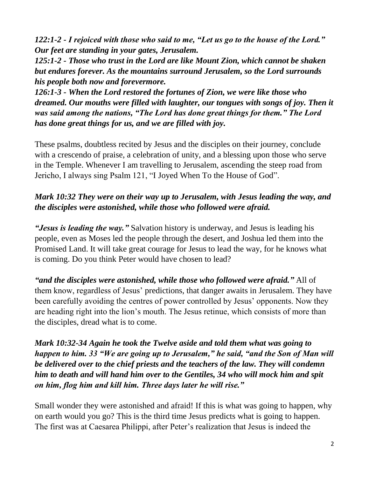*122:1-2 - I rejoiced with those who said to me, "Let us go to the house of the Lord." Our feet are standing in your gates, Jerusalem.*

*125:1-2 - Those who trust in the Lord are like Mount Zion, which cannot be shaken but endures forever. As the mountains surround Jerusalem, so the Lord surrounds his people both now and forevermore.*

*126:1-3 - When the Lord restored the fortunes of Zion, we were like those who dreamed. Our mouths were filled with laughter, our tongues with songs of joy. Then it was said among the nations, "The Lord has done great things for them." The Lord has done great things for us, and we are filled with joy.*

These psalms, doubtless recited by Jesus and the disciples on their journey, conclude with a crescendo of praise, a celebration of unity, and a blessing upon those who serve in the Temple. Whenever I am travelling to Jerusalem, ascending the steep road from Jericho, I always sing Psalm 121, "I Joyed When To the House of God".

### *Mark 10:32 They were on their way up to Jerusalem, with Jesus leading the way, and the disciples were astonished, while those who followed were afraid.*

*"Jesus is leading the way."* Salvation history is underway, and Jesus is leading his people, even as Moses led the people through the desert, and Joshua led them into the Promised Land. It will take great courage for Jesus to lead the way, for he knows what is coming. Do you think Peter would have chosen to lead?

*"and the disciples were astonished, while those who followed were afraid."* All of them know, regardless of Jesus' predictions, that danger awaits in Jerusalem. They have been carefully avoiding the centres of power controlled by Jesus' opponents. Now they are heading right into the lion's mouth. The Jesus retinue, which consists of more than the disciples, dread what is to come.

*Mark 10:32-34 Again he took the Twelve aside and told them what was going to happen to him. 33 "We are going up to Jerusalem," he said, "and the Son of Man will be delivered over to the chief priests and the teachers of the law. They will condemn him to death and will hand him over to the Gentiles, 34 who will mock him and spit on him, flog him and kill him. Three days later he will rise."*

Small wonder they were astonished and afraid! If this is what was going to happen, why on earth would you go? This is the third time Jesus predicts what is going to happen. The first was at Caesarea Philippi, after Peter's realization that Jesus is indeed the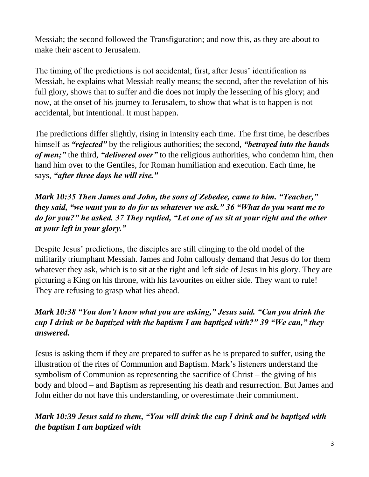Messiah; the second followed the Transfiguration; and now this, as they are about to make their ascent to Jerusalem.

The timing of the predictions is not accidental; first, after Jesus' identification as Messiah, he explains what Messiah really means; the second, after the revelation of his full glory, shows that to suffer and die does not imply the lessening of his glory; and now, at the onset of his journey to Jerusalem, to show that what is to happen is not accidental, but intentional. It must happen.

The predictions differ slightly, rising in intensity each time. The first time, he describes himself as *"rejected"* by the religious authorities; the second, *"betrayed into the hands of men;"* the third, *"delivered over"* to the religious authorities, who condemn him, then hand him over to the Gentiles, for Roman humiliation and execution. Each time, he says, *"after three days he will rise."*

*Mark 10:35 Then James and John, the sons of Zebedee, came to him. "Teacher," they said, "we want you to do for us whatever we ask." 36 "What do you want me to do for you?" he asked. 37 They replied, "Let one of us sit at your right and the other at your left in your glory."*

Despite Jesus' predictions, the disciples are still clinging to the old model of the militarily triumphant Messiah. James and John callously demand that Jesus do for them whatever they ask, which is to sit at the right and left side of Jesus in his glory. They are picturing a King on his throne, with his favourites on either side. They want to rule! They are refusing to grasp what lies ahead.

# *Mark 10:38 "You don't know what you are asking," Jesus said. "Can you drink the cup I drink or be baptized with the baptism I am baptized with?" 39 "We can," they answered.*

Jesus is asking them if they are prepared to suffer as he is prepared to suffer, using the illustration of the rites of Communion and Baptism. Mark's listeners understand the symbolism of Communion as representing the sacrifice of Christ – the giving of his body and blood – and Baptism as representing his death and resurrection. But James and John either do not have this understanding, or overestimate their commitment.

# *Mark 10:39 Jesus said to them, "You will drink the cup I drink and be baptized with the baptism I am baptized with*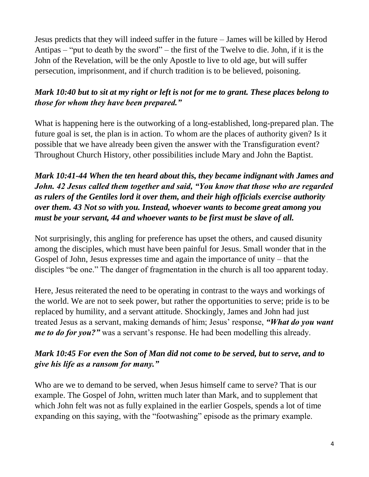Jesus predicts that they will indeed suffer in the future – James will be killed by Herod Antipas – "put to death by the sword" – the first of the Twelve to die. John, if it is the John of the Revelation, will be the only Apostle to live to old age, but will suffer persecution, imprisonment, and if church tradition is to be believed, poisoning.

# *Mark 10:40 but to sit at my right or left is not for me to grant. These places belong to those for whom they have been prepared."*

What is happening here is the outworking of a long-established, long-prepared plan. The future goal is set, the plan is in action. To whom are the places of authority given? Is it possible that we have already been given the answer with the Transfiguration event? Throughout Church History, other possibilities include Mary and John the Baptist.

# *Mark 10:41-44 When the ten heard about this, they became indignant with James and John. 42 Jesus called them together and said, "You know that those who are regarded as rulers of the Gentiles lord it over them, and their high officials exercise authority over them. 43 Not so with you. Instead, whoever wants to become great among you must be your servant, 44 and whoever wants to be first must be slave of all.*

Not surprisingly, this angling for preference has upset the others, and caused disunity among the disciples, which must have been painful for Jesus. Small wonder that in the Gospel of John, Jesus expresses time and again the importance of unity – that the disciples "be one." The danger of fragmentation in the church is all too apparent today.

Here, Jesus reiterated the need to be operating in contrast to the ways and workings of the world. We are not to seek power, but rather the opportunities to serve; pride is to be replaced by humility, and a servant attitude. Shockingly, James and John had just treated Jesus as a servant, making demands of him; Jesus' response, *"What do you want me to do for you?"* was a servant's response. He had been modelling this already.

# *Mark 10:45 For even the Son of Man did not come to be served, but to serve, and to give his life as a ransom for many."*

Who are we to demand to be served, when Jesus himself came to serve? That is our example. The Gospel of John, written much later than Mark, and to supplement that which John felt was not as fully explained in the earlier Gospels, spends a lot of time expanding on this saying, with the "footwashing" episode as the primary example.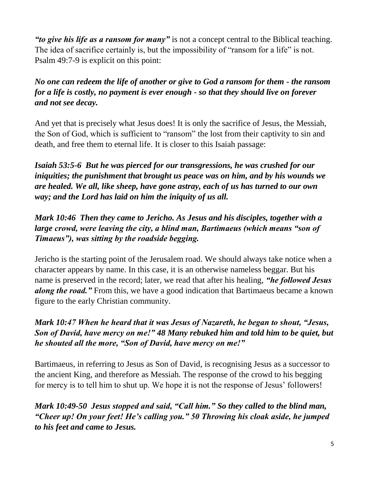*"to give his life as a ransom for many"* is not a concept central to the Biblical teaching. The idea of sacrifice certainly is, but the impossibility of "ransom for a life" is not. Psalm 49:7-9 is explicit on this point:

*No one can redeem the life of another or give to God a ransom for them - the ransom for a life is costly, no payment is ever enough - so that they should live on forever and not see decay.*

And yet that is precisely what Jesus does! It is only the sacrifice of Jesus, the Messiah, the Son of God, which is sufficient to "ransom" the lost from their captivity to sin and death, and free them to eternal life. It is closer to this Isaiah passage:

*Isaiah 53:5-6 But he was pierced for our transgressions, he was crushed for our iniquities; the punishment that brought us peace was on him, and by his wounds we are healed. We all, like sheep, have gone astray, each of us has turned to our own way; and the Lord has laid on him the iniquity of us all.*

*Mark 10:46 Then they came to Jericho. As Jesus and his disciples, together with a large crowd, were leaving the city, a blind man, Bartimaeus (which means "son of Timaeus"), was sitting by the roadside begging.* 

Jericho is the starting point of the Jerusalem road. We should always take notice when a character appears by name. In this case, it is an otherwise nameless beggar. But his name is preserved in the record; later, we read that after his healing, *"he followed Jesus along the road."* From this, we have a good indication that Bartimaeus became a known figure to the early Christian community.

*Mark 10:47 When he heard that it was Jesus of Nazareth, he began to shout, "Jesus, Son of David, have mercy on me!" 48 Many rebuked him and told him to be quiet, but he shouted all the more, "Son of David, have mercy on me!"*

Bartimaeus, in referring to Jesus as Son of David, is recognising Jesus as a successor to the ancient King, and therefore as Messiah. The response of the crowd to his begging for mercy is to tell him to shut up. We hope it is not the response of Jesus' followers!

*Mark 10:49-50 Jesus stopped and said, "Call him." So they called to the blind man, "Cheer up! On your feet! He's calling you." 50 Throwing his cloak aside, he jumped to his feet and came to Jesus.*